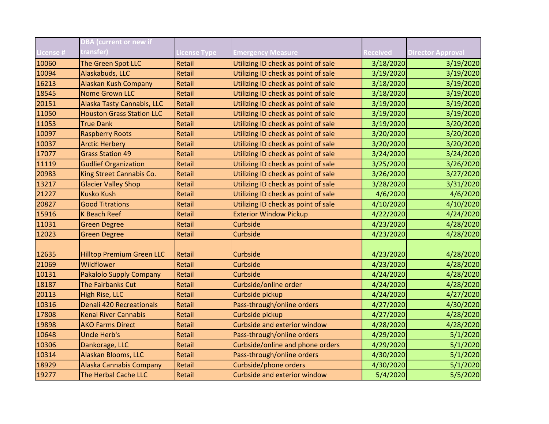|                  | <b>DBA</b> (current or new if                       |                     |                                                 |           |                          |
|------------------|-----------------------------------------------------|---------------------|-------------------------------------------------|-----------|--------------------------|
| <b>License #</b> | transfer)                                           | <b>License Type</b> | <b>Emergency Measure</b>                        | Received  | <b>Director Approval</b> |
| 10060            | The Green Spot LLC                                  | Retail              | Utilizing ID check as point of sale             | 3/18/2020 | 3/19/2020                |
| 10094            | Alaskabuds, LLC                                     | Retail              | Utilizing ID check as point of sale             | 3/19/2020 | 3/19/2020                |
| 16213            | Alaskan Kush Company                                | Retail              | Utilizing ID check as point of sale             | 3/18/2020 | 3/19/2020                |
| 18545            | <b>Nome Grown LLC</b>                               | Retail              | Utilizing ID check as point of sale             | 3/18/2020 | 3/19/2020                |
| 20151            | Alaska Tasty Cannabis, LLC                          | Retail              | Utilizing ID check as point of sale             | 3/19/2020 | 3/19/2020                |
| 11050            | <b>Houston Grass Station LLC</b>                    | Retail              | Utilizing ID check as point of sale             | 3/19/2020 | 3/19/2020                |
| 11053            | <b>True Dank</b>                                    | Retail              | Utilizing ID check as point of sale             | 3/19/2020 | 3/20/2020                |
| 10097            | <b>Raspberry Roots</b>                              | Retail              | Utilizing ID check as point of sale             | 3/20/2020 | 3/20/2020                |
| 10037            | <b>Arctic Herbery</b>                               | Retail              | Utilizing ID check as point of sale             | 3/20/2020 | 3/20/2020                |
| 17077            | <b>Grass Station 49</b>                             | Retail              | Utilizing ID check as point of sale             | 3/24/2020 | 3/24/2020                |
| 11119            | <b>Gudlief Organization</b>                         | Retail              | Utilizing ID check as point of sale             | 3/25/2020 | 3/26/2020                |
| 20983            | King Street Cannabis Co.                            | Retail              | Utilizing ID check as point of sale             | 3/26/2020 | 3/27/2020                |
| 13217            | <b>Glacier Valley Shop</b>                          | Retail              | Utilizing ID check as point of sale             | 3/28/2020 | 3/31/2020                |
| 21227            | <b>Kusko Kush</b>                                   | Retail              | Utilizing ID check as point of sale             | 4/6/2020  | 4/6/2020                 |
| 20827            | <b>Good Titrations</b>                              | Retail              | Utilizing ID check as point of sale             | 4/10/2020 | 4/10/2020                |
| 15916            | <b>K Beach Reef</b>                                 | Retail              | <b>Exterior Window Pickup</b>                   | 4/22/2020 | 4/24/2020                |
| 11031            | <b>Green Degree</b>                                 | Retail              | Curbside                                        | 4/23/2020 | 4/28/2020                |
| 12023            | <b>Green Degree</b>                                 | Retail              | Curbside                                        | 4/23/2020 | 4/28/2020                |
| 12635            | <b>Hilltop Premium Green LLC</b>                    | Retail              | Curbside                                        |           |                          |
| 21069            | Wildflower                                          | Retail              | Curbside                                        | 4/23/2020 | 4/28/2020                |
|                  |                                                     |                     | Curbside                                        | 4/23/2020 | 4/28/2020                |
| 10131            | <b>Pakalolo Supply Company</b><br>The Fairbanks Cut | Retail              |                                                 | 4/24/2020 | 4/28/2020                |
| 18187            |                                                     | Retail              | Curbside/online order                           | 4/24/2020 | 4/28/2020                |
| 20113<br>10316   | High Rise, LLC<br>Denali 420 Recreationals          | Retail<br>Retail    | Curbside pickup<br>Pass-through/online orders   | 4/24/2020 | 4/27/2020                |
| 17808            | <b>Kenai River Cannabis</b>                         |                     |                                                 | 4/27/2020 | 4/30/2020                |
|                  | <b>AKO Farms Direct</b>                             | Retail              | Curbside pickup<br>Curbside and exterior window | 4/27/2020 | 4/28/2020                |
| 19898            |                                                     | Retail              |                                                 | 4/28/2020 | 4/28/2020                |
| 10648            | <b>Uncle Herb's</b>                                 | Retail              | Pass-through/online orders                      | 4/29/2020 | 5/1/2020                 |
| 10306            | Dankorage, LLC                                      | Retail              | Curbside/online and phone orders                | 4/29/2020 | 5/1/2020                 |
| 10314            | Alaskan Blooms, LLC                                 | Retail              | Pass-through/online orders                      | 4/30/2020 | 5/1/2020                 |
| 18929            | <b>Alaska Cannabis Company</b>                      | Retail              | Curbside/phone orders                           | 4/30/2020 | 5/1/2020                 |
| 19277            | The Herbal Cache LLC                                | Retail              | <b>Curbside and exterior window</b>             | 5/4/2020  | 5/5/2020                 |